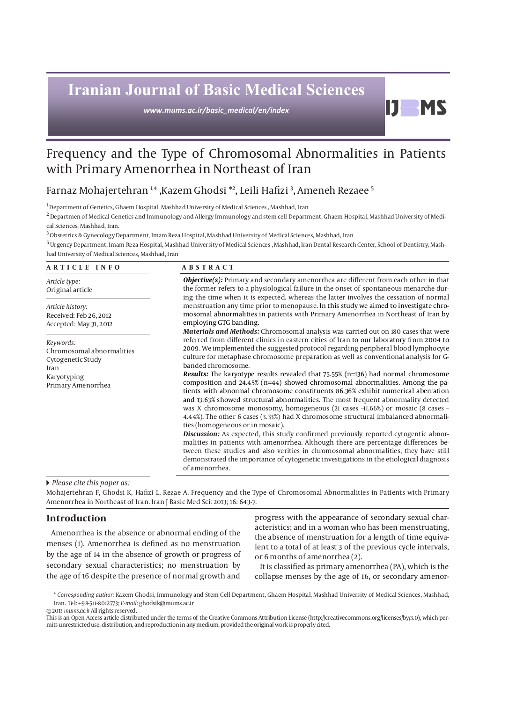# **Iranian Journal of Basic Medical Sciences**

*www.mums.ac.ir/basic\_medical/en/index*

## Frequency and the Type of Chromosomal Abnormalities in Patients with Primary Amenorrhea in Northeast of Iran

### Farnaz Mohajertehran 1,4 ,Kazem Ghodsi \*2 , Leili Hafizi 3 , Ameneh Rezaee 5

 $^{\rm 1}$  Department of Genetics, Ghaem Hospital, Mashhad University of Medical Sciences , Mashhad, Iran

2 Departmen of Medical Genetics and Immunology and Allergy Immunology and stem cell Department, Ghaem Hospital, Mashhad University of Medical Sciences, Mashhad, Iran.

 $^3$  Obstetrics & Gynecology Department, Imam Reza Hospital, Mashhad University of Medical Sciences, Mashhad, Iran

5 Urgency Department, Imam Reza Hospital, Mashhad University of Medical Sciences , Mashhad, Iran Dental Research Center, School of Dentistry, Mashhad University of Medical Sciences, Mashhad, Iran

#### **ARTICLE INFO ABSTRACT**

*Article type:* Original article

*Article history:* Received: Feb 26, 2012 Accepted: May 31, 2012

*Keywords:* Chromosomal abnormalities Cytogenetic Study Iran Karyotyping Primary Amenorrhea

#### *Objective(s):* Primary and secondary amenorrhea are different from each other in that the former refers to a physiological failure in the onset of spontaneous menarche during the time when it is expected. whereas the latter involves the cessation of normal menstruation any time prior to menopause. In this study we aimed to investigate chromosomal abnormalities in patients with Primary Amenorrhea in Northeast of Iran by employing GTG banding.

IJ.

**MS** 

*Materials and Methods:* Chromosomal analysis was carried out on 180 cases that were referred from different clinics in eastern cities of Iran to our laboratory from 2004 to 2009. We implemented the suggested protocol regarding peripheral blood lymphocyte culture for metaphase chromosome preparation as well as conventional analysis for Gbanded chromosome.

*Results:* The karyotype results revealed that 75.55% (n=136) had normal chromosome composition and 24.45% (n=44) showed chromosomal abnormalities. Among the patients with abnormal chromosome constituents 86.36% exhibit numerical aberration and 13.63% showed structural abnormalities. The most frequent abnormality detected was X chromosome monosomy, homogeneous (21 cases –11.66%) or mosaic (8 cases – 4.44%). The other 6 cases (3.33%) had X chromosome structural imbalanced abnormalities (homogeneous or in mosaic).

*Discussion:* As expected, this study confirmed previously reported cytogentic abnormalities in patients with amenorrhea. Although there are percentage differences between these studies and also verities in chromosomal abnormalities, they have still demonstrated the importance of cytogenetic investigations in the etiological diagnosis of amenorrhea.

#### *Please cite this paper as:*

Mohajertehran F, Ghodsi K, Hafizi L, Rezae A. Frequency and the Type of Chromosomal Abnormalities in Patients with Primary Amenorrhea in Northeast of Iran. Iran J Basic Med Sci: 2013; 16: 643-7.

#### **Introduction**

Amenorrhea is the absence or abnormal ending of the menses (1). Amenorrhea is defined as no menstruation by the age of 14 in the absence of growth or progress of secondary sexual characteristics; no menstruation by the age of 16 despite the presence of normal growth and

progress with the appearance of secondary sexual characteristics; and in a woman who has been menstruating, the absence of menstruation for a length of time equivalent to a total of at least 3 of the previous cycle intervals, or 6 months of amenorrhea (2).

It is classified as primary amenorrhea (PA), which is the collapse menses by the age of 16, or secondary amenor-

© 2013 *mums.ac.ir* All rights reserved.

<sup>\*</sup> *Corresponding author:* Kazem Ghodsi, Immunology and Stem Cell Department, Ghaem Hospital, Mashhad University of Medical Sciences, Mashhad, Iran. Tel: +98-511-8012773; *E-mail:* ghodsik@mums.ac.ir

This is an Open Access article distributed under the terms of the Creative Commons Attribution License (http://creativecommons.org/licenses/by/3.0), which permits unrestricted use, distribution, and reproduction in any medium, provided the original work is properly cited.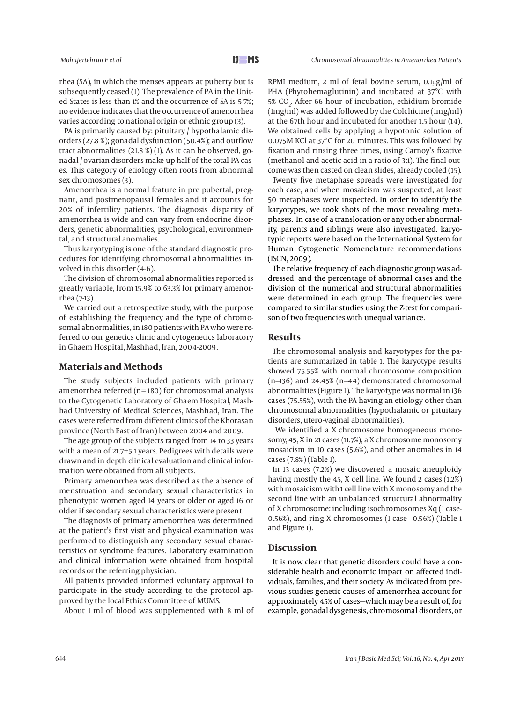rhea (SA), in which the menses appears at puberty but is subsequently ceased (1). The prevalence of PA in the United States is less than 1% and the occurrence of SA is 5-7%; no evidence indicates that the occurrence of amenorrhea varies according to national origin or ethnic group (3).

PA is primarily caused by: pituitary / hypothalamic disorders (27.8 %); gonadal dysfunction (50.4%); and outflow tract abnormalities (21.8 %) (1). As it can be observed, gonadal / ovarian disorders make up half of the total PA cases. This category of etiology often roots from abnormal sex chromosomes (3).

Amenorrhea is a normal feature in pre pubertal, pregnant, and postmenopausal females and it accounts for 20% of infertility patients. The diagnosis disparity of amenorrhea is wide and can vary from endocrine disorders, genetic abnormalities, psychological, environmental, and structural anomalies.

Thus karyotyping is one of the standard diagnostic procedures for identifying chromosomal abnormalities involved in this disorder (4-6).

The division of chromosomal abnormalities reported is greatly variable, from 15.9% to 63.3% for primary amenorrhea (7-13).

We carried out a retrospective study, with the purpose of establishing the frequency and the type of chromosomal abnormalities, in 180 patients with PA who were referred to our genetics clinic and cytogenetics laboratory in Ghaem Hospital, Mashhad, Iran, 2004-2009.

#### **Materials and Methods**

The study subjects included patients with primary amenorrhea referred (n= 180) for chromosomal analysis to the Cytogenetic Laboratory of Ghaem Hospital, Mashhad University of Medical Sciences, Mashhad, Iran. The cases were referred from different clinics of the Khorasan province (North East of Iran) between 2004 and 2009.

The age group of the subjects ranged from 14 to 33 years with a mean of 21.7±5.1 years. Pedigrees with details were drawn and in depth clinical evaluation and clinical information were obtained from all subjects.

Primary amenorrhea was described as the absence of menstruation and secondary sexual characteristics in phenotypic women aged 14 years or older or aged 16 or older if secondary sexual characteristics were present.

The diagnosis of primary amenorrhea was determined at the patient's first visit and physical examination was performed to distinguish any secondary sexual characteristics or syndrome features. Laboratory examination and clinical information were obtained from hospital records or the referring physician.

All patients provided informed voluntary approval to participate in the study according to the protocol approved by the local Ethics Committee of MUMS.

About 1 ml of blood was supplemented with 8 ml of

RPMI medium, 2 ml of fetal bovine serum, 0.1μg/ml of PHA (Phytohemaglutinin) and incubated at 37°C with  $5\%$  CO<sub>2</sub>. After 66 hour of incubation, ethidium bromide (1mg/ml) was added followed by the Colchicine (1mg/ml) at the 67th hour and incubated for another 1.5 hour (14). We obtained cells by applying a hypotonic solution of 0.075M KCl at 37°C for 20 minutes. This was followed by fixation and rinsing three times, using Carnoy's fixative (methanol and acetic acid in a ratio of 3:1). The final outcome was then casted on clean slides, already cooled (15).

Twenty five metaphase spreads were investigated for each case, and when mosaicism was suspected, at least 50 metaphases were inspected. In order to identify the karyotypes, we took shots of the most revealing metaphases. In case of a translocation or any other abnormality, parents and siblings were also investigated. karyotypic reports were based on the International System for Human Cytogenetic Nomenclature recommendations (ISCN, 2009).

The relative frequency of each diagnostic group was addressed, and the percentage of abnormal cases and the division of the numerical and structural abnormalities were determined in each group. The frequencies were compared to similar studies using the Z-test for comparison of two frequencies with unequal variance.

#### **Results**

The chromosomal analysis and karyotypes for the patients are summarized in table 1. The karyotype results showed 75.55% with normal chromosome composition (n=136) and 24.45% (n=44) demonstrated chromosomal abnormalities (Figure 1). The karyotype was normal in 136 cases (75.55%), with the PA having an etiology other than chromosomal abnormalities (hypothalamic or pituitary disorders, utero-vaginal abnormalities).

We identified a X chromosome homogeneous monosomy, 45, X in 21 cases (11.7%), a X chromosome monosomy mosaicism in 10 cases (5.6%), and other anomalies in 14 cases (7.8%) (Table 1).

In 13 cases (7.2%) we discovered a mosaic aneuploidy having mostly the 45, X cell line. We found 2 cases (1.2%) with mosaicism with 1 cell line with X monosomy and the second line with an unbalanced structural abnormality of X chromosome: including isochromosomes Xq (1 case-0.56%), and ring X chromosomes (1 case– 0.56%) (Table 1 and Figure 1).

#### **Discussion**

It is now clear that genetic disorders could have a considerable health and economic impact on affected individuals, families, and their society. As indicated from previous studies genetic causes of amenorrhea account for approximately 45% of cases—which may be a result of, for example, gonadal dysgenesis, chromosomal disorders, or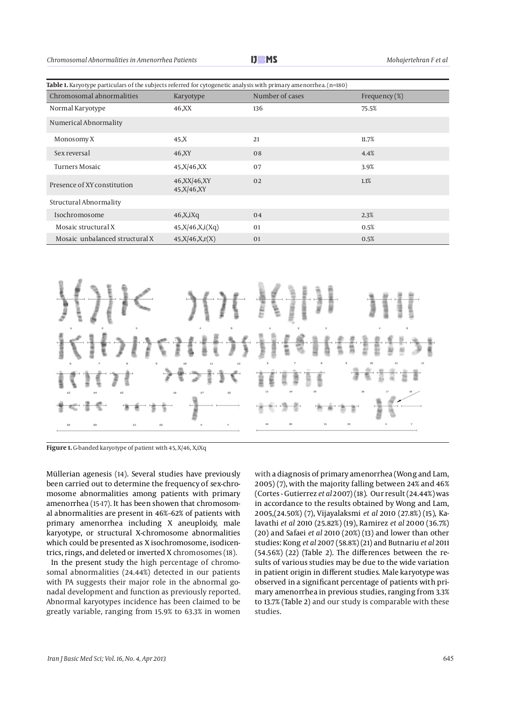*Chromosomal Abnormalities in Amenorrhea Patients Mohajertehran F et al*

| Table 1. Karyotype particulars of the subjects referred for cytogenetic analysis with primary amenorrhea. $(n=180)$ |                                  |                 |                  |  |  |  |  |  |
|---------------------------------------------------------------------------------------------------------------------|----------------------------------|-----------------|------------------|--|--|--|--|--|
| Chromosomal abnormalities                                                                                           | Karyotype                        | Number of cases | Frequency $(\%)$ |  |  |  |  |  |
| Normal Karyotype                                                                                                    | 46,XX                            | 136             | 75.5%            |  |  |  |  |  |
| Numerical Abnormality                                                                                               |                                  |                 |                  |  |  |  |  |  |
| Monosomy X                                                                                                          | 45,X                             | 21              | 11.7%            |  |  |  |  |  |
| Sex reversal                                                                                                        | 46, XY                           | 08              | 4.4%             |  |  |  |  |  |
| Turners Mosaic                                                                                                      | 45, X / 46, XX                   | 07              | 3.9%             |  |  |  |  |  |
| Presence of XY constitution                                                                                         | 46, XX 46, XY<br>45, X / 46, X Y | 0 <sub>2</sub>  | 1.1%             |  |  |  |  |  |
| <b>Structural Abnormality</b>                                                                                       |                                  |                 |                  |  |  |  |  |  |
| Isochromosome                                                                                                       | 46, X, iXq                       | 04              | 2.3%             |  |  |  |  |  |
| Mosaic structural X                                                                                                 | 45, X/46, X, i(Xq)               | 01              | 0.5%             |  |  |  |  |  |
| Mosaic unbalanced structural X                                                                                      | 45, X/46, X, r(X)                | 01              | 0.5%             |  |  |  |  |  |



**Figure 1.** G-banded karyotype of patient with 45, X/46, X,iXq

Müllerian agenesis (14). Several studies have previously been carried out to determine the frequency of sex-chromosome abnormalities among patients with primary amenorrhea (15-17). It has been showen that chromosomal abnormalities are present in 46%–62% of patients with primary amenorrhea including X aneuploidy, male karyotype, or structural X-chromosome abnormalities which could be presented as X isochromosome, isodicentrics, rings, and deleted or inverted X chromosomes (18).

In the present study the high percentage of chromosomal abnormalities (24.44%) detected in our patients with PA suggests their major role in the abnormal gonadal development and function as previously reported. Abnormal karyotypes incidence has been claimed to be greatly variable, ranging from 15.9% to 63.3% in women with a diagnosis of primary amenorrhea (Wong and Lam, 2005) (7), with the majority falling between 24% and 46% (Cortes - Gutierrez *et al* 2007) (18). Our result (24.44%) was in accordance to the results obtained by Wong and Lam, 2005,(24.50%) (7), Vijayalaksmi *et al* 2010 (27.8%) (15), Kalavathi *et al* 2010 (25.82%) (19), Ramirez *et al* 2000 (36.7%) (20) and Safaei *et al* 2010 (20%) (13) and lower than other studies: Kong *et al* 2007 (58.8%) (21) and Butnariu *et al* 2011 (54.56%) (22) (Table 2). The differences between the results of various studies may be due to the wide variation in patient origin in different studies. Male karyotype was observed in a significant percentage of patients with primary amenorrhea in previous studies, ranging from 3.3% to 13.7% (Table 2) and our study is comparable with these studies.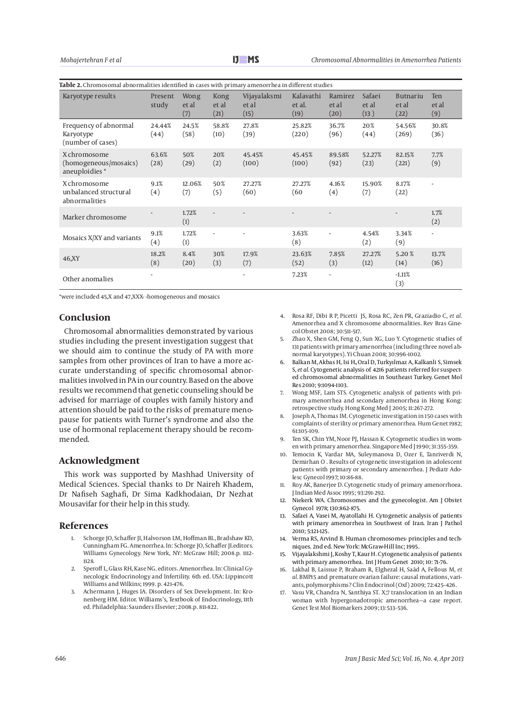| Table 2. Chromosomal abnormalities identified in cases with primary amenorrhea in different studies |                          |                      |                          |                               |                             |                          |                         |                                  |                            |  |  |
|-----------------------------------------------------------------------------------------------------|--------------------------|----------------------|--------------------------|-------------------------------|-----------------------------|--------------------------|-------------------------|----------------------------------|----------------------------|--|--|
| Karyotype results                                                                                   | Present<br>study         | Wong<br>et al<br>(7) | Kong<br>et al<br>(21)    | Vijayalaksmi<br>et al<br>(15) | Kalavathi<br>et al.<br>(19) | Ramirez<br>et al<br>(20) | Safaei<br>et al<br>(13) | <b>Butnariu</b><br>et al<br>(22) | <b>Ten</b><br>et al<br>(9) |  |  |
| Frequency of abnormal<br>Karyotype<br>(number of cases)                                             | 24.44%<br>(44)           | 24.5%<br>(58)        | 58.8%<br>(10)            | 27.8%<br>(39)                 | 25.82%<br>(220)             | 36.7%<br>(96)            | 20%<br>(44)             | 54.56%<br>(269)                  | 30.8%<br>(36)              |  |  |
| X chromosome<br>(homogeneous/mosaics)<br>aneuploidies *                                             | 63.6%<br>(28)            | 50%<br>(29)          | 20%<br>(2)               | 45.45%<br>(100)               | 45.45%<br>(100)             | 89.58%<br>(92)           | 52.27%<br>(23)          | 82.15%<br>(221)                  | 7.7%<br>(9)                |  |  |
| X chromosome<br>unbalanced structural<br>abnormalities                                              | 9.1%<br>(4)              | 12.06%<br>(7)        | 50%<br>(5)               | 27.27%<br>(60)                | 27.27%<br>(60)              | 4.16%<br>(4)             | 15.90%<br>(7)           | 8.17%<br>(22)                    | $\overline{\phantom{a}}$   |  |  |
| Marker chromosome                                                                                   |                          | 1.72%<br>(1)         |                          |                               |                             |                          |                         |                                  | 1.7%<br>(2)                |  |  |
| Mosaics X/XY and variants                                                                           | 9.1%<br>(4)              | 1.72%<br>(1)         | $\overline{\phantom{a}}$ |                               | 3.63%<br>(8)                | $\overline{a}$           | 4.54%<br>(2)            | 3.34%<br>(9)                     | $\overline{\phantom{a}}$   |  |  |
| 46, XY                                                                                              | 18.2%<br>(8)             | 8.4%<br>(20)         | 30%<br>(3)               | 17.9%<br>(7)                  | 23.63%<br>(52)              | 7.85%<br>(3)             | 27.27%<br>(12)          | 5.20%<br>(14)                    | 13.7%<br>(16)              |  |  |
| Other anomalies                                                                                     | $\overline{\phantom{a}}$ |                      |                          | $\overline{\phantom{a}}$      | 7.23%                       | $\overline{\phantom{a}}$ |                         | $-1.11%$<br>(3)                  |                            |  |  |

\*were included 45,X and 47,XXX- -homogeneous and mosaics

#### **Conclusion**

Chromosomal abnormalities demonstrated by various studies including the present investigation suggest that we should aim to continue the study of PA with more samples from other provinces of Iran to have a more accurate understanding of specific chromosomal abnormalities involved in PA in our country. Based on the above results we recommend that genetic counseling should be advised for marriage of couples with family history and attention should be paid to the risks of premature menopause for patients with Turner's syndrome and also the use of hormonal replacement therapy should be recommended.

#### **Acknowledgment**

This work was supported by Mashhad University of Medical Sciences. Special thanks to Dr Naireh Khadem, Dr Nafiseh Saghafi, Dr Sima Kadkhodaian, Dr Nezhat Mousavifar for their help in this study.

#### **References**

- 1. Schorge JO, Schaffer JI, Halvorson LM, Hoffman BL, Bradshaw KD, Cunningham FG. Amenorrhea. In: Schorge JO, Schaffer JI.editors. Williams Gynecology. New York, NY: McGraw Hill; 2008.p. 1112- 1128.
- 2. Speroff L, Glass RH, Kase NG. editors. Amenorrhea. In: Clinical Gynecologic Endocrinology and Infertility. 6th ed. USA: Lippincott Williams and Wilkins; 1999. p. 421-476.
- 3. Achermann J, Huges IA. Disorders of Sex Development. In: Kronenberg HM. Editor. Williams's, Textbook of Endocrinology, 11th ed. Philadelphia: Saunders Elsevier; 2008.p. 811-822.
- 4. Rosa RF, Dibi R P, Picetti JS, Rosa RC, Zen PR, Graziadio C, *et al.* Amenorrhea and X chromosome abnormalities. Rev Bras Ginecol Obstet 2008; 30:511-517.
- Zhao X, Shen GM, Feng Q, Sun XG, Luo Y. Cytogenetic studies of 131 patients with primary amenorrhea (including three novel abnormal karyotypes). Yi Chuan 2008; 30:996-1002.
- 6. Balkan M, Akbas H, Isi H**,** Oral D, Turkyılmaz A, Kalkanli S, Simsek S, *et al.* Cytogenetic analysis of 4216 patients referred for suspected chromosomal abnormalities in Southeast Turkey. Genet Mol Res 2010; 9:1094-1103.
- 7. Wong MSF, Lam STS. Cytogenetic analysis of patients with primary amenorrhea and secondary amenorrhea in Hong Kong: retrospective study. Hong Kong Med J 2005; 11:267-272.
- Joseph A, Thomas IM. Cytogenetic investigation in 150 cases with complaints of sterility or primary amenorrhea. Hum Genet 1982; 61:105-109.
- 9. Ten SK, Chin YM, Noor PJ, Hassan K. Cytogenetic studies in women with primary amenorrhea. Singapore Med J 1990; 31:355-359.
- 10. Temocin K, Vardar MA, Suleymanova D, Ozer E, Tanriverdi N, Demirhan O . Results of cytogenetic investigation in adolescent patients with primary or secondary amenorrhea. J Pediatr Adolesc Gynecol 1997; 10:86-88.
- 11. Roy AK, Banerjee D. Cytogenetic study of primary amenorrhoea. J Indian Med Assoc 1995; 93:291-292.
- 12. Niekerk WA. Chromosomes and the gynecologist. Am J Obstet Gynecol 1978; 130:862-875.
- 13. Safaei A, Vasei M, Ayatollahi H. Cytogenetic analysis of patients with primary amenorrhea in Southwest of Iran. Iran J Pathol 2010; 5:121-125.
- 14. Verma RS, Arvind B. Human chromosomes- principles and techniques. 2nd ed. New York: McGraw-Hill Inc; 1995.
- Vijayalakshmi J, Koshy T, Kaur H. Cytogenetic analysis of patients with primary amenorrhea. Int J Hum Genet 2010; 10: 71-76.
- 16. Lakhal B, Laissue P, Braham R, Elghezal H, Saâd A, Fellous M, *et al.* BMP15 and premature ovarian failure: causal mutations, variants, polymorphisms? Clin Endocrinol (Oxf) 2009; 72:425–426.
- 17. Vasu VR, Chandra N, Santhiya ST. X;7 translocation in an Indian woman with hypergonadotropic amenorrhea—a case report. Genet Test Mol Biomarkers 2009; 13:533–536.